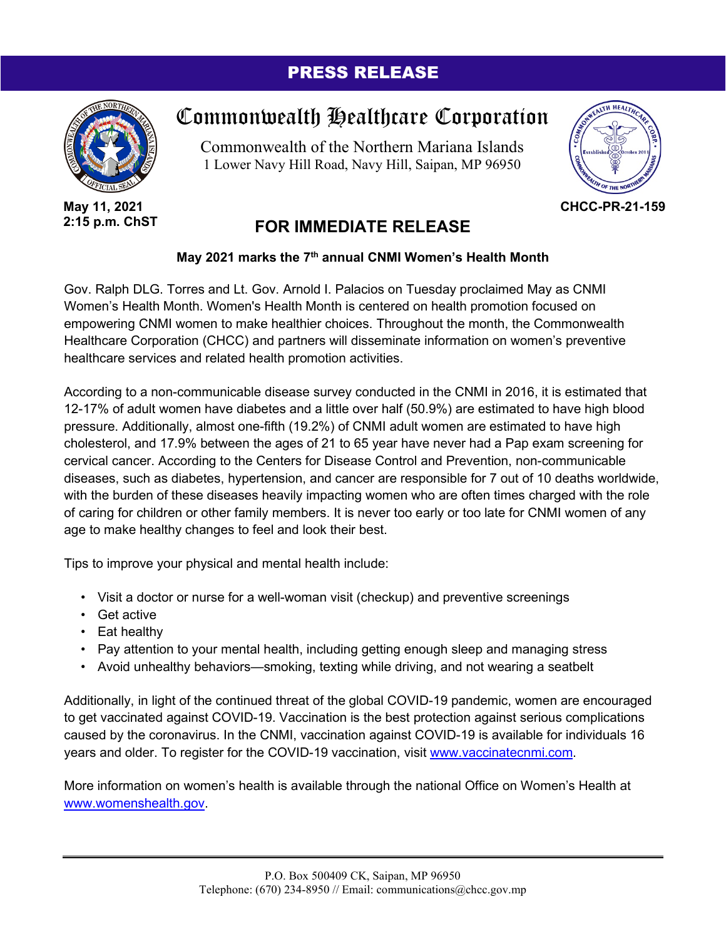## PRESS RELEASE



**May 11, 2021 2:15 p.m. ChST**

## Commonwealth Healthcare Corporation

Commonwealth of the Northern Mariana Islands 1 Lower Navy Hill Road, Navy Hill, Saipan, MP 96950



**CHCC-PR-21-159**

## **FOR IMMEDIATE RELEASE**

## **May 2021 marks the 7th annual CNMI Women's Health Month**

Gov. Ralph DLG. Torres and Lt. Gov. Arnold I. Palacios on Tuesday proclaimed May as CNMI Women's Health Month. Women's Health Month is centered on health promotion focused on empowering CNMI women to make healthier choices. Throughout the month, the Commonwealth Healthcare Corporation (CHCC) and partners will disseminate information on women's preventive healthcare services and related health promotion activities.

According to a non-communicable disease survey conducted in the CNMI in 2016, it is estimated that 12-17% of adult women have diabetes and a little over half (50.9%) are estimated to have high blood pressure. Additionally, almost one-fifth (19.2%) of CNMI adult women are estimated to have high cholesterol, and 17.9% between the ages of 21 to 65 year have never had a Pap exam screening for cervical cancer. According to the Centers for Disease Control and Prevention, non-communicable diseases, such as diabetes, hypertension, and cancer are responsible for 7 out of 10 deaths worldwide, with the burden of these diseases heavily impacting women who are often times charged with the role of caring for children or other family members. It is never too early or too late for CNMI women of any age to make healthy changes to feel and look their best.

Tips to improve your physical and mental health include:

- Visit a doctor or nurse for a well-woman visit (checkup) and preventive screenings
- Get active
- Eat healthy
- Pay attention to your mental health, including getting enough sleep and managing stress
- Avoid unhealthy behaviors—smoking, texting while driving, and not wearing a seatbelt

Additionally, in light of the continued threat of the global COVID-19 pandemic, women are encouraged to get vaccinated against COVID-19. Vaccination is the best protection against serious complications caused by the coronavirus. In the CNMI, vaccination against COVID-19 is available for individuals 16 years and older. To register for the COVID-19 vaccination, visit [www.vaccinatecnmi.com.](http://www.vaccinatecnmi.com/)

More information on women's health is available through the national Office on Women's Health at [www.womenshealth.gov.](http://www.womenshealth.gov/)